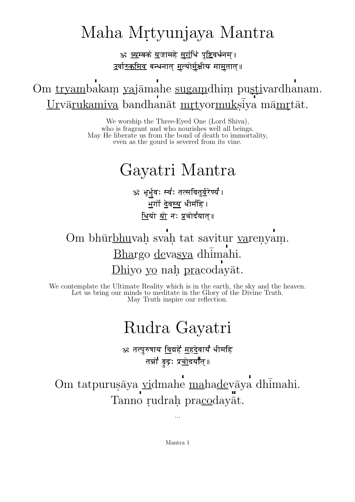## Maha Mrtyunjaya Mantra

<u>ॐ व्य</u>म्बकं <u>य</u>जामहे <u>सुगं</u>धिं <u>पुष्टि</u>वर्धनम् । <u>उर्वारुकमिव</u> बन्धनात् <u>मृत्योर्म</u>ुक्षीय मा<u>म</u>तात्॥

Om tryambakam yajāmahe sugamdhim pustivardhanam. Urvārukamiva bandhanāt mrtyormuksīya māmrtāt.

> We worship the Three-Eyed One (Lord Shiva), who is fragrant and who nourishes well all beings. May He liberate us from the bond of death to immortality, even as the gourd is severed from its vine.

## Gayatri Mantra

ॐ भूर्भुवः स्व॑ः तत्सवितु<u>र्व</u>रेण्य॑। ्<br>भर्गों देवस्य धीमहि । <u>धियो यो</u> नः <u>प्र</u>चोदयात्॥

Om bhūrbhuvah svah tat savitur varenyam. Bhargo devasya dhimahi. Dhiyo yo nah pracodayāt.

We contemplate the Ultimate Reality which is in the earth, the sky and the heaven. Let us bring our minds to meditate in the Glory of the Divine Truth. May Truth inspire our reflection.

## Rudra Gayatri

ॐ तत्पुरुषाय <u>वि</u>द्महे <u>महदे</u>वाय धीमहि तन्नो डुद्रः प्र<u>च</u>ोदयात्॥

Om tatpurusāya vidmahe mahadevāya dhīmahi. Tanno rudrah pracodayāt.

...

Mantra 1